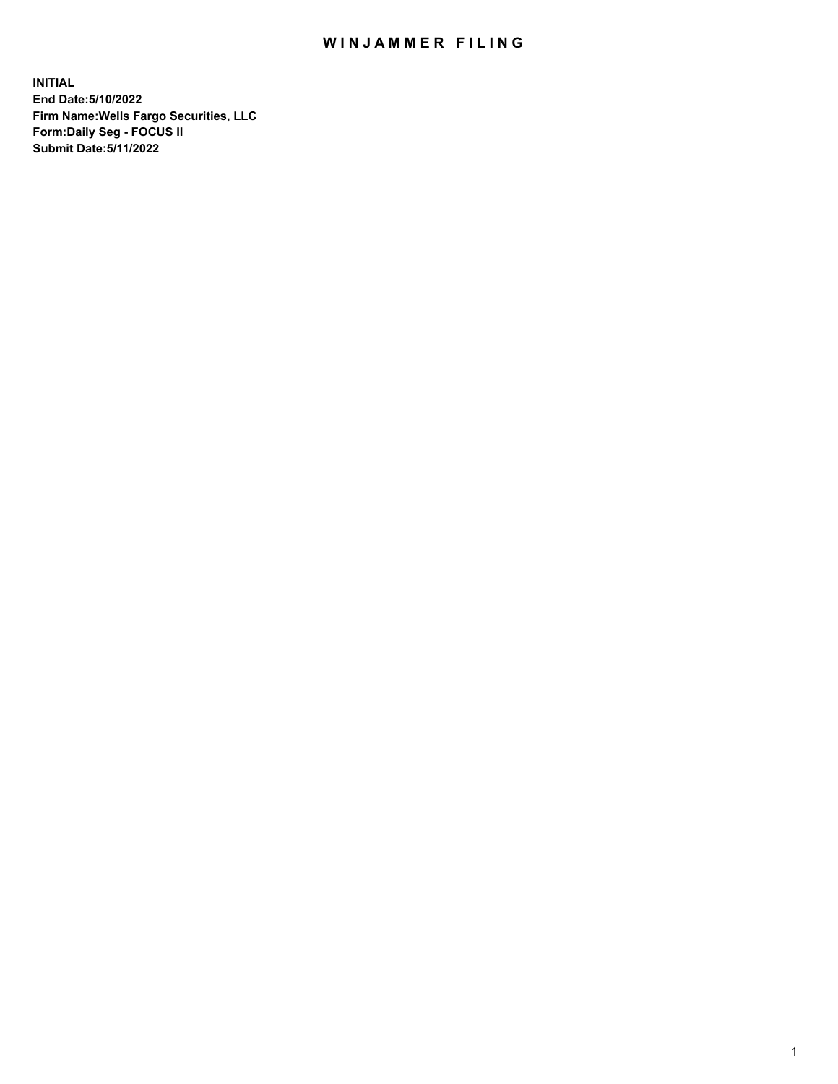## WIN JAMMER FILING

**INITIAL End Date:5/10/2022 Firm Name:Wells Fargo Securities, LLC Form:Daily Seg - FOCUS II Submit Date:5/11/2022**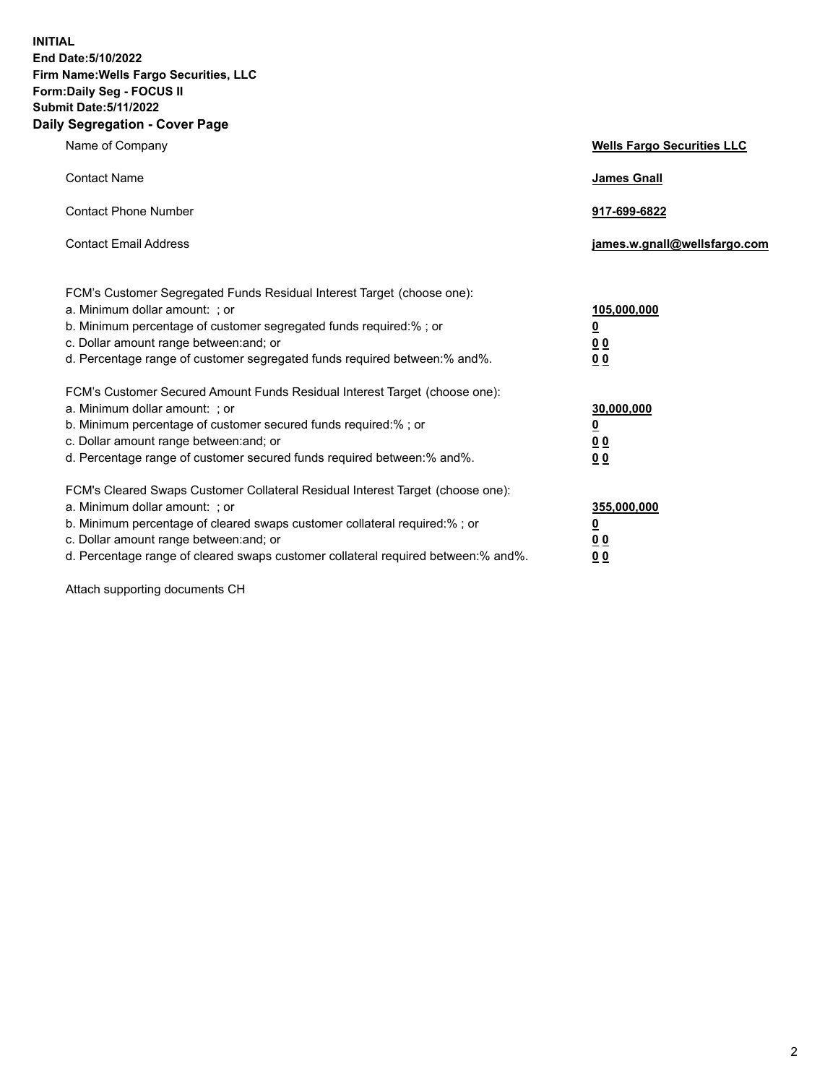**INITIAL End Date:5/10/2022 Firm Name:Wells Fargo Securities, LLC Form:Daily Seg - FOCUS II Submit Date:5/11/2022 Daily Segregation - Cover Page**

| Name of Company                                                                                                                                                                                                                                                                                                                | <b>Wells Fargo Securities LLC</b>                          |
|--------------------------------------------------------------------------------------------------------------------------------------------------------------------------------------------------------------------------------------------------------------------------------------------------------------------------------|------------------------------------------------------------|
| <b>Contact Name</b>                                                                                                                                                                                                                                                                                                            | <b>James Gnall</b>                                         |
| <b>Contact Phone Number</b>                                                                                                                                                                                                                                                                                                    | 917-699-6822                                               |
| <b>Contact Email Address</b>                                                                                                                                                                                                                                                                                                   | james.w.gnall@wellsfargo.com                               |
| FCM's Customer Segregated Funds Residual Interest Target (choose one):<br>a. Minimum dollar amount: ; or<br>b. Minimum percentage of customer segregated funds required:% ; or<br>c. Dollar amount range between: and; or<br>d. Percentage range of customer segregated funds required between: % and %.                       | 105,000,000<br><u>0</u><br><u>00</u><br>0 <sub>0</sub>     |
| FCM's Customer Secured Amount Funds Residual Interest Target (choose one):<br>a. Minimum dollar amount: ; or<br>b. Minimum percentage of customer secured funds required:% ; or<br>c. Dollar amount range between: and; or<br>d. Percentage range of customer secured funds required between: % and %.                         | 30,000,000<br><u>0</u><br>0 <sub>0</sub><br>0 <sub>0</sub> |
| FCM's Cleared Swaps Customer Collateral Residual Interest Target (choose one):<br>a. Minimum dollar amount: ; or<br>b. Minimum percentage of cleared swaps customer collateral required:% ; or<br>c. Dollar amount range between: and; or<br>d. Percentage range of cleared swaps customer collateral required between:% and%. | 355,000,000<br><u>0</u><br>00<br><u>00</u>                 |

Attach supporting documents CH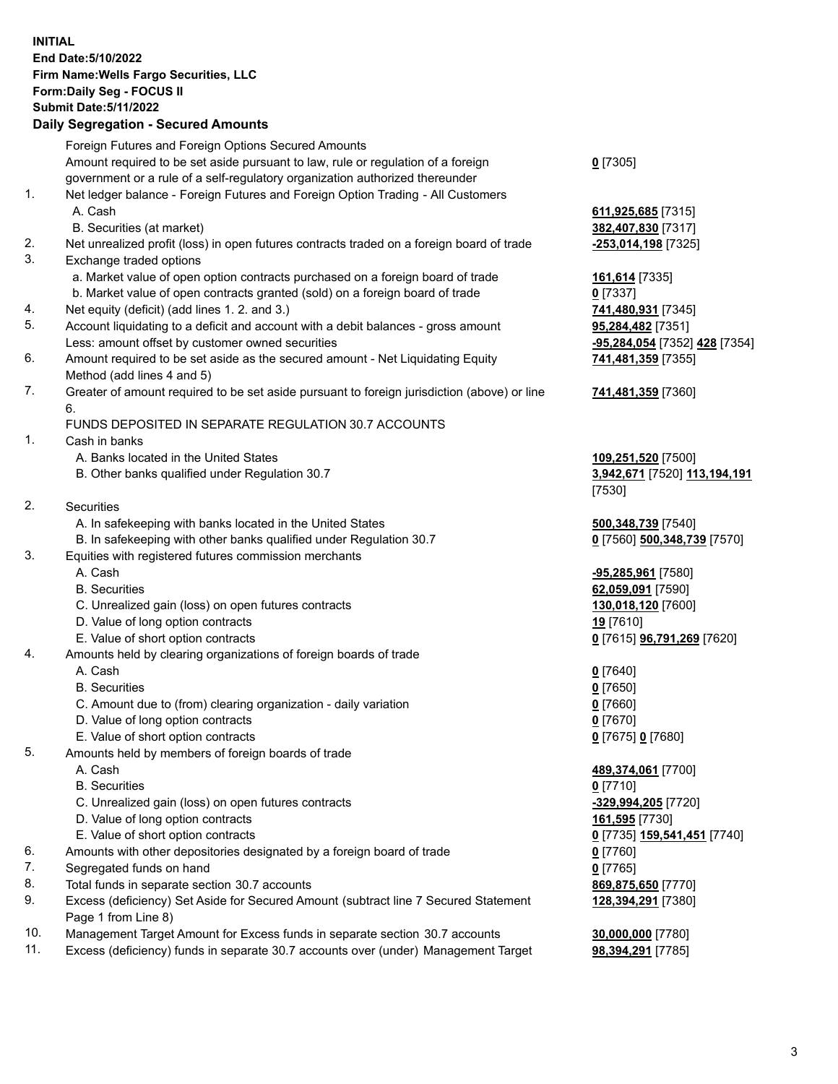**INITIAL End Date:5/10/2022 Firm Name:Wells Fargo Securities, LLC Form:Daily Seg - FOCUS II Submit Date:5/11/2022 Daily Segregation - Secured Amounts**

Foreign Futures and Foreign Options Secured Amounts Amount required to be set aside pursuant to law, rule or regulation of a foreign government or a rule of a self-regulatory organization authorized thereunder **0** [7305] 1. Net ledger balance - Foreign Futures and Foreign Option Trading - All Customers A. Cash **611,925,685** [7315] B. Securities (at market) **382,407,830** [7317] 2. Net unrealized profit (loss) in open futures contracts traded on a foreign board of trade **-253,014,198** [7325] 3. Exchange traded options a. Market value of open option contracts purchased on a foreign board of trade **161,614** [7335] b. Market value of open contracts granted (sold) on a foreign board of trade **0** [7337] 4. Net equity (deficit) (add lines 1. 2. and 3.) **741,480,931** [7345] 5. Account liquidating to a deficit and account with a debit balances - gross amount **95,284,482** [7351] Less: amount offset by customer owned securities **-95,284,054** [7352] **428** [7354] 6. Amount required to be set aside as the secured amount - Net Liquidating Equity Method (add lines 4 and 5) **741,481,359** [7355] 7. Greater of amount required to be set aside pursuant to foreign jurisdiction (above) or line 6. **741,481,359** [7360] FUNDS DEPOSITED IN SEPARATE REGULATION 30.7 ACCOUNTS 1. Cash in banks A. Banks located in the United States **109,251,520** [7500] B. Other banks qualified under Regulation 30.7 **3,942,671** [7520] **113,194,191** [7530] 2. Securities A. In safekeeping with banks located in the United States **500,348,739** [7540] B. In safekeeping with other banks qualified under Regulation 30.7 **0** [7560] **500,348,739** [7570] 3. Equities with registered futures commission merchants A. Cash **-95,285,961** [7580] B. Securities **62,059,091** [7590] C. Unrealized gain (loss) on open futures contracts **130,018,120** [7600] D. Value of long option contracts **19** [7610] E. Value of short option contracts **0** [7615] **96,791,269** [7620] 4. Amounts held by clearing organizations of foreign boards of trade A. Cash **0** [7640] B. Securities **0** [7650] C. Amount due to (from) clearing organization - daily variation **0** [7660] D. Value of long option contracts **0** [7670] E. Value of short option contracts **0** [7675] **0** [7680] 5. Amounts held by members of foreign boards of trade A. Cash **489,374,061** [7700] B. Securities **0** [7710] C. Unrealized gain (loss) on open futures contracts **-329,994,205** [7720] D. Value of long option contracts **161,595** [7730] E. Value of short option contracts **0** [7735] **159,541,451** [7740] 6. Amounts with other depositories designated by a foreign board of trade **0** [7760] 7. Segregated funds on hand **0** [7765] 8. Total funds in separate section 30.7 accounts **869,875,650** [7770]

- 
- 9. Excess (deficiency) Set Aside for Secured Amount (subtract line 7 Secured Statement Page 1 from Line 8)
- 10. Management Target Amount for Excess funds in separate section 30.7 accounts **30,000,000** [7780]
- 11. Excess (deficiency) funds in separate 30.7 accounts over (under) Management Target **98,394,291** [7785]

**128,394,291** [7380]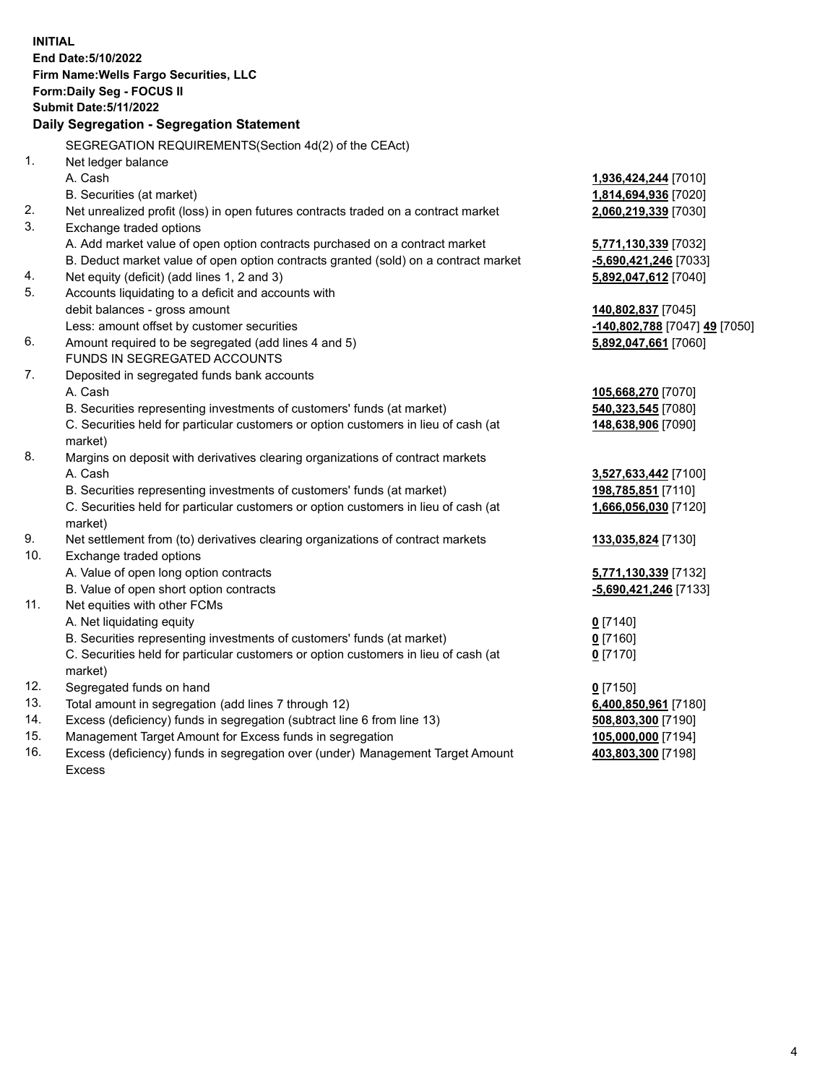**INITIAL End Date:5/10/2022 Firm Name:Wells Fargo Securities, LLC Form:Daily Seg - FOCUS II Submit Date:5/11/2022 Daily Segregation - Segregation Statement** SEGREGATION REQUIREMENTS(Section 4d(2) of the CEAct) 1. Net ledger balance A. Cash **1,936,424,244** [7010] B. Securities (at market) **1,814,694,936** [7020] 2. Net unrealized profit (loss) in open futures contracts traded on a contract market **2,060,219,339** [7030] 3. Exchange traded options A. Add market value of open option contracts purchased on a contract market **5,771,130,339** [7032] B. Deduct market value of open option contracts granted (sold) on a contract market **-5,690,421,246** [7033] 4. Net equity (deficit) (add lines 1, 2 and 3) **5,892,047,612** [7040] 5. Accounts liquidating to a deficit and accounts with debit balances - gross amount **140,802,837** [7045] Less: amount offset by customer securities **-140,802,788** [7047] **49** [7050] 6. Amount required to be segregated (add lines 4 and 5) **5,892,047,661** [7060] FUNDS IN SEGREGATED ACCOUNTS 7. Deposited in segregated funds bank accounts A. Cash **105,668,270** [7070] B. Securities representing investments of customers' funds (at market) **540,323,545** [7080] C. Securities held for particular customers or option customers in lieu of cash (at market) **148,638,906** [7090] 8. Margins on deposit with derivatives clearing organizations of contract markets A. Cash **3,527,633,442** [7100] B. Securities representing investments of customers' funds (at market) **198,785,851** [7110] C. Securities held for particular customers or option customers in lieu of cash (at market) **1,666,056,030** [7120] 9. Net settlement from (to) derivatives clearing organizations of contract markets **133,035,824** [7130] 10. Exchange traded options A. Value of open long option contracts **5,771,130,339** [7132] B. Value of open short option contracts **-5,690,421,246** [7133] 11. Net equities with other FCMs A. Net liquidating equity **0** [7140] B. Securities representing investments of customers' funds (at market) **0** [7160] C. Securities held for particular customers or option customers in lieu of cash (at market) **0** [7170] 12. Segregated funds on hand **0** [7150] 13. Total amount in segregation (add lines 7 through 12) **6,400,850,961** [7180] 14. Excess (deficiency) funds in segregation (subtract line 6 from line 13) **508,803,300** [7190] 15. Management Target Amount for Excess funds in segregation **105,000,000** [7194] **403,803,300** [7198]

16. Excess (deficiency) funds in segregation over (under) Management Target Amount Excess